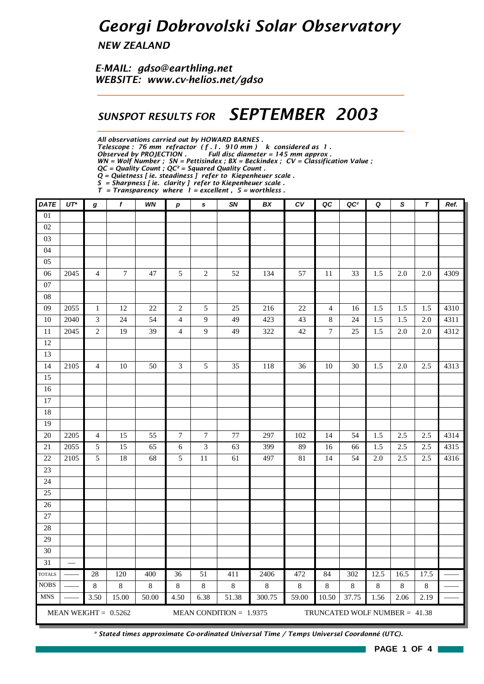## *Georgi Dobrovolski Solar Observatory*

*NEW ZEALAND*

*E-MAIL: gdso@earthling.net WEBSITE: www.cv-helios.net/gdso*

#### *SUNSPOT RESULTS FOR SEPTEMBER 2003*

*All observations carried out by HOWARD BARNES .*

*Telescope : 76 mm refractor ( f . l . 910 mm ) k considered as 1 .*

*Observed by PROJECTION . Full disc diameter = 145 mm approx .*

*WN = Wolf Number ; SN = Pettisindex ; BX = Beckindex ; CV = Classification Value ;*

*QC = Quality Count ; QC² = Squared Quality Count . Q = Quietness [ ie. steadiness ] refer to Kiepenheuer scale .*

*S = Sharpness [ ie. clarity ] refer to Kiepenheuer scale .*

*T = Transparency where 1 = excellent , 5 = worthless .*

| <b>DATE</b>                                                                          | $UT^*$ | g              | $\pmb{f}$        | WN             | p                       | $\mathbf s$   | SN           | BX              | $\overline{cv}$         | QC               | QC <sup>2</sup> | Q               | S               | $\tau$          | Ref. |
|--------------------------------------------------------------------------------------|--------|----------------|------------------|----------------|-------------------------|---------------|--------------|-----------------|-------------------------|------------------|-----------------|-----------------|-----------------|-----------------|------|
| 01                                                                                   |        |                |                  |                |                         |               |              |                 |                         |                  |                 |                 |                 |                 |      |
| $02\,$                                                                               |        |                |                  |                |                         |               |              |                 |                         |                  |                 |                 |                 |                 |      |
| 03                                                                                   |        |                |                  |                |                         |               |              |                 |                         |                  |                 |                 |                 |                 |      |
| 04                                                                                   |        |                |                  |                |                         |               |              |                 |                         |                  |                 |                 |                 |                 |      |
| $05\,$                                                                               |        |                |                  |                |                         |               |              |                 |                         |                  |                 |                 |                 |                 |      |
| 06                                                                                   | 2045   | $\overline{4}$ | $\boldsymbol{7}$ | 47             | $\overline{5}$          | $\sqrt{2}$    | 52           | 134             | 57                      | 11               | 33              | 1.5             | 2.0             | 2.0             | 4309 |
| 07                                                                                   |        |                |                  |                |                         |               |              |                 |                         |                  |                 |                 |                 |                 |      |
| ${\bf 08}$                                                                           |        |                |                  |                |                         |               |              |                 |                         |                  |                 |                 |                 |                 |      |
| 09                                                                                   | 2055   | $\mathbf 1$    | 12               | 22             | $\sqrt{2}$              | $\sqrt{5}$    | 25           | 216             | 22                      | $\overline{4}$   | 16              | 1.5             | 1.5             | 1.5             | 4310 |
| 10                                                                                   | 2040   | $\mathfrak{Z}$ | 24               | 54             | $\overline{\mathbf{4}}$ | 9             | 49           | 423             | 43                      | $\,8\,$          | 24              | 1.5             | 1.5             | 2.0             | 4311 |
| $11\,$                                                                               | 2045   | $\sqrt{2}$     | 19               | 39             | $\overline{4}$          | 9             | 49           | 322             | 42                      | $\boldsymbol{7}$ | 25              | 1.5             | 2.0             | 2.0             | 4312 |
| 12                                                                                   |        |                |                  |                |                         |               |              |                 |                         |                  |                 |                 |                 |                 |      |
| 13                                                                                   |        |                |                  |                |                         |               |              |                 |                         |                  |                 |                 |                 |                 |      |
| 14                                                                                   | 2105   | $\overline{4}$ | $10\,$           | 50             | 3                       | $\sqrt{5}$    | 35           | 118             | 36                      | 10               | 30              | 1.5             | 2.0             | 2.5             | 4313 |
| 15                                                                                   |        |                |                  |                |                         |               |              |                 |                         |                  |                 |                 |                 |                 |      |
| 16                                                                                   |        |                |                  |                |                         |               |              |                 |                         |                  |                 |                 |                 |                 |      |
| 17                                                                                   |        |                |                  |                |                         |               |              |                 |                         |                  |                 |                 |                 |                 |      |
| 18                                                                                   |        |                |                  |                |                         |               |              |                 |                         |                  |                 |                 |                 |                 |      |
| 19                                                                                   |        |                |                  |                |                         |               |              |                 |                         |                  |                 |                 |                 |                 |      |
| 20                                                                                   | 2205   | $\overline{4}$ | 15               | 55             | $\boldsymbol{7}$        | $\tau$        | 77           | 297             | 102                     | 14               | 54              | 1.5             | 2.5             | 2.5             | 4314 |
| 21                                                                                   | 2055   | $\sqrt{5}$     | 15               | 65             | 6                       | 3             | 63           | 399             | 89                      | 16               | 66              | 1.5             | 2.5             | 2.5             | 4315 |
| 22                                                                                   | 2105   | 5              | 18               | 68             | 5                       | 11            | 61           | 497             | 81                      | 14               | 54              | 2.0             | 2.5             | 2.5             | 4316 |
| 23                                                                                   |        |                |                  |                |                         |               |              |                 |                         |                  |                 |                 |                 |                 |      |
| 24                                                                                   |        |                |                  |                |                         |               |              |                 |                         |                  |                 |                 |                 |                 |      |
| 25                                                                                   |        |                |                  |                |                         |               |              |                 |                         |                  |                 |                 |                 |                 |      |
| 26                                                                                   |        |                |                  |                |                         |               |              |                 |                         |                  |                 |                 |                 |                 |      |
| $27\,$                                                                               |        |                |                  |                |                         |               |              |                 |                         |                  |                 |                 |                 |                 |      |
| 28                                                                                   |        |                |                  |                |                         |               |              |                 |                         |                  |                 |                 |                 |                 |      |
| 29                                                                                   |        |                |                  |                |                         |               |              |                 |                         |                  |                 |                 |                 |                 |      |
| 30<br>31                                                                             |        |                |                  |                |                         |               |              |                 |                         |                  |                 |                 |                 |                 |      |
|                                                                                      |        |                |                  |                |                         |               |              |                 |                         |                  |                 |                 |                 |                 |      |
| <b>TOTALS</b><br><b>NOBS</b>                                                         |        | 28<br>8        | 120<br>$8\,$     | 400<br>$\,8\,$ | 36<br>$\,8\,$           | 51<br>$\,8\,$ | 411<br>$8\,$ | 2406<br>$\,8\,$ | 472<br>$\boldsymbol{8}$ | 84<br>8          | 302<br>$\,8\,$  | 12.5<br>$\,8\,$ | 16.5<br>$\,8\,$ | 17.5<br>$\,8\,$ |      |
| <b>MNS</b>                                                                           |        | 3.50           | 15.00            | 50.00          | 4.50                    | 6.38          | 51.38        | 300.75          | 59.00                   | 10.50            | 37.75           | 1.56            | 2.06            | 2.19            |      |
|                                                                                      |        |                |                  |                |                         |               |              |                 |                         |                  |                 |                 |                 |                 |      |
| MEAN WEIGHT = $0.5262$<br>MEAN CONDITION = $1.9375$<br>TRUNCATED WOLF NUMBER = 41.38 |        |                |                  |                |                         |               |              |                 |                         |                  |                 |                 |                 |                 |      |

*\* Stated times approximate Co-ordinated Universal Time / Temps Universel Coordonné (UTC).*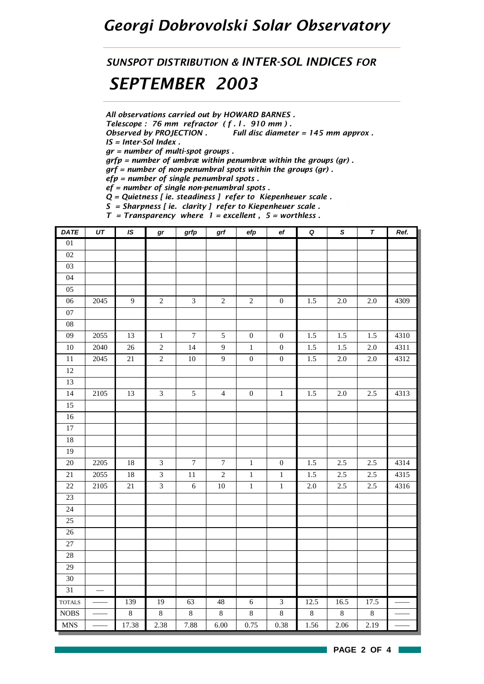#### *Georgi Dobrovolski Solar Observatory*

# *SUNSPOT DISTRIBUTION & INTER-SOL INDICES FOR*

### *SEPTEMBER 2003*

*All observations carried out by HOWARD BARNES .*

*Telescope : 76 mm refractor ( f . l . 910 mm ) .*

*Observed by PROJECTION . Full disc diameter = 145 mm approx .*

*IS = Inter-Sol Index .*

*gr = number of multi-spot groups .*

*grfp = number of umbræ within penumbræ within the groups (gr) .*

*grf = number of non-penumbral spots within the groups (gr) .*

*efp = number of single penumbral spots .*

*ef = number of single non-penumbral spots .*

*Q = Quietness [ ie. steadiness ] refer to Kiepenheuer scale .*

*S = Sharpness [ ie. clarity ] refer to Kiepenheuer scale .*

*T = Transparency where 1 = excellent , 5 = worthless . DATE UT IS gr grfp grf efp ef Q S T Ref.* 01  $\overline{02}$ 03 04 05 06 2045 9 2 3 2 2 0 1.5 2.0 2.0 4309 07 08 09 2055 13 1 7 5 0 0 1.5 1.5 1.5 4310 10 | 2040 | 26 | 2 | 14 | 9 | 1 | 0 | 1.5 | 1.5 | 2.0 | 4311 11 | 2045 | 21 | 2 | 10 | 9 | 0 | 0 | 1.5 | 2.0 | 2.0 | 4312 12 13 14 2105 13 3 5 4 0 1 1 1.5 2.0 2.5 4313 15 16 17 18 19 20 2205 18 3 7 7 1 0 1.5 2.5 2.5 4314 21 | 2055 | 18 | 3 | 11 | 2 | 1 | 1 | 1.5 | 2.5 | 2.5 | 4315 22 2105 21 3 6 10 1 1 2.0 2.5 2.5 4316 23 24 25 26 27 28 29 30 31 TOTALS — 139 19 63 48 6 3 12.5 16.5 17.5 — NOBS — — 8 8 8 8 8 8 8 8 8 — — MNS — — 17.38 2.38 7.88 6.00 0.75 0.38 1.56 2.06 2.19 — —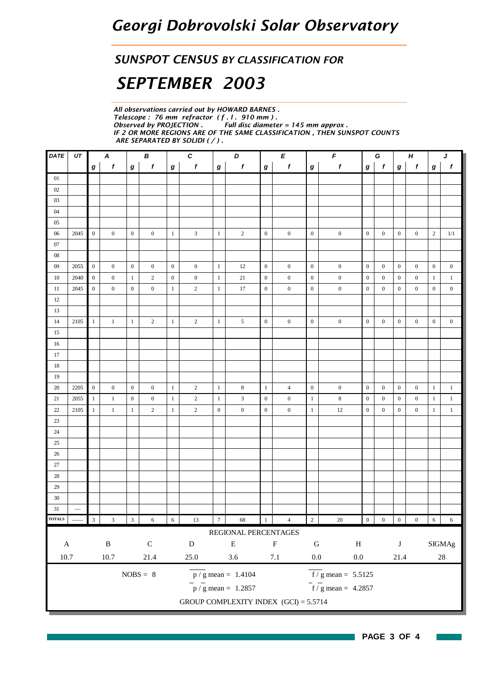#### *SUNSPOT CENSUS BY CLASSIFICATION FOR*

## *SEPTEMBER 2003*

*All observations carried out by HOWARD BARNES . Telescope : 76 mm refractor ( f . l . 910 mm ) .* **Full disc diameter = 145 mm approx.** *IF 2 OR MORE REGIONS ARE OF THE SAME CLASSIFICATION , THEN SUNSPOT COUNTS ARE SEPARATED BY SOLIDI ( / ) .*

| $\pmb{f}$<br>$\boldsymbol{g}$<br>$\mathbf{0}$<br>$\mathbf{0}$                    | $\mathbf{f}$<br>$\boldsymbol{g}$                                                                                                                                                                |  |  |  |  |  |  |  |  |  |  |
|----------------------------------------------------------------------------------|-------------------------------------------------------------------------------------------------------------------------------------------------------------------------------------------------|--|--|--|--|--|--|--|--|--|--|
|                                                                                  |                                                                                                                                                                                                 |  |  |  |  |  |  |  |  |  |  |
|                                                                                  |                                                                                                                                                                                                 |  |  |  |  |  |  |  |  |  |  |
|                                                                                  |                                                                                                                                                                                                 |  |  |  |  |  |  |  |  |  |  |
|                                                                                  |                                                                                                                                                                                                 |  |  |  |  |  |  |  |  |  |  |
|                                                                                  |                                                                                                                                                                                                 |  |  |  |  |  |  |  |  |  |  |
|                                                                                  |                                                                                                                                                                                                 |  |  |  |  |  |  |  |  |  |  |
|                                                                                  | 2<br>1/1                                                                                                                                                                                        |  |  |  |  |  |  |  |  |  |  |
|                                                                                  |                                                                                                                                                                                                 |  |  |  |  |  |  |  |  |  |  |
|                                                                                  |                                                                                                                                                                                                 |  |  |  |  |  |  |  |  |  |  |
| $\boldsymbol{0}$                                                                 | $\overline{0}$<br>$\boldsymbol{0}$                                                                                                                                                              |  |  |  |  |  |  |  |  |  |  |
| $\mathbf{0}$                                                                     | $\mathbf{1}$<br>$\mathbf{1}$                                                                                                                                                                    |  |  |  |  |  |  |  |  |  |  |
| $\boldsymbol{0}$                                                                 | $\boldsymbol{0}$<br>$\boldsymbol{0}$                                                                                                                                                            |  |  |  |  |  |  |  |  |  |  |
|                                                                                  |                                                                                                                                                                                                 |  |  |  |  |  |  |  |  |  |  |
|                                                                                  |                                                                                                                                                                                                 |  |  |  |  |  |  |  |  |  |  |
| $\boldsymbol{0}$                                                                 | $\boldsymbol{0}$<br>$\mathbf{0}$                                                                                                                                                                |  |  |  |  |  |  |  |  |  |  |
|                                                                                  |                                                                                                                                                                                                 |  |  |  |  |  |  |  |  |  |  |
|                                                                                  |                                                                                                                                                                                                 |  |  |  |  |  |  |  |  |  |  |
|                                                                                  |                                                                                                                                                                                                 |  |  |  |  |  |  |  |  |  |  |
|                                                                                  |                                                                                                                                                                                                 |  |  |  |  |  |  |  |  |  |  |
|                                                                                  |                                                                                                                                                                                                 |  |  |  |  |  |  |  |  |  |  |
| $\boldsymbol{0}$                                                                 | $\mathbf{1}$<br>$\mathbf{1}$                                                                                                                                                                    |  |  |  |  |  |  |  |  |  |  |
| $\boldsymbol{0}$                                                                 | $\mathbf{1}$<br>-1                                                                                                                                                                              |  |  |  |  |  |  |  |  |  |  |
| $\boldsymbol{0}$                                                                 | $1\,$<br>1                                                                                                                                                                                      |  |  |  |  |  |  |  |  |  |  |
|                                                                                  |                                                                                                                                                                                                 |  |  |  |  |  |  |  |  |  |  |
|                                                                                  |                                                                                                                                                                                                 |  |  |  |  |  |  |  |  |  |  |
|                                                                                  |                                                                                                                                                                                                 |  |  |  |  |  |  |  |  |  |  |
|                                                                                  |                                                                                                                                                                                                 |  |  |  |  |  |  |  |  |  |  |
|                                                                                  |                                                                                                                                                                                                 |  |  |  |  |  |  |  |  |  |  |
|                                                                                  |                                                                                                                                                                                                 |  |  |  |  |  |  |  |  |  |  |
|                                                                                  |                                                                                                                                                                                                 |  |  |  |  |  |  |  |  |  |  |
|                                                                                  |                                                                                                                                                                                                 |  |  |  |  |  |  |  |  |  |  |
|                                                                                  |                                                                                                                                                                                                 |  |  |  |  |  |  |  |  |  |  |
|                                                                                  | $\sqrt{6}$<br>6                                                                                                                                                                                 |  |  |  |  |  |  |  |  |  |  |
|                                                                                  |                                                                                                                                                                                                 |  |  |  |  |  |  |  |  |  |  |
|                                                                                  | $\rm{SIGMAg}$                                                                                                                                                                                   |  |  |  |  |  |  |  |  |  |  |
|                                                                                  | $28\,$                                                                                                                                                                                          |  |  |  |  |  |  |  |  |  |  |
| $10.7\,$<br>$10.7\,$<br>21.4<br>3.6<br>$7.1\,$<br>$0.0\,$<br>$0.0\,$<br>$25.0\,$ |                                                                                                                                                                                                 |  |  |  |  |  |  |  |  |  |  |
| $NOBS = 8$<br>$\overline{f}$ / g mean = 5.5125<br>$\overline{p}/g$ mean = 1.4104 |                                                                                                                                                                                                 |  |  |  |  |  |  |  |  |  |  |
| $f/g$ mean = 4.2857                                                              |                                                                                                                                                                                                 |  |  |  |  |  |  |  |  |  |  |
|                                                                                  |                                                                                                                                                                                                 |  |  |  |  |  |  |  |  |  |  |
|                                                                                  | $\boldsymbol{0}$<br>$\mathbf{0}$<br>$\boldsymbol{0}$<br>$\boldsymbol{0}$<br>$\boldsymbol{0}$<br>$\boldsymbol{0}$<br>$\boldsymbol{0}$<br>$\boldsymbol{0}$<br>$\boldsymbol{0}$<br>$\bf J$<br>21.4 |  |  |  |  |  |  |  |  |  |  |

**PAGE 3 OF 4**

**College**